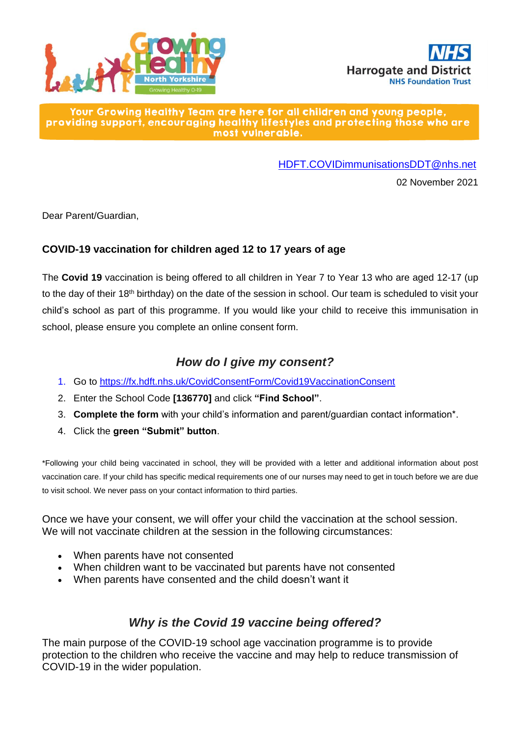



#### Your Growing Healthy Team are here for all children and young people, providing support, encouraging healthy lifestyles and protecting those who are most vulnerable.

[HDFT.COVIDimmunisationsDDT@nhs.net](mailto:HDFT.COVIDimmunisationsDDT@nhs.net)

02 November 2021

Dear Parent/Guardian,

#### **COVID-19 vaccination for children aged 12 to 17 years of age**

The **Covid 19** vaccination is being offered to all children in Year 7 to Year 13 who are aged 12-17 (up to the day of their 18<sup>th</sup> birthday) on the date of the session in school. Our team is scheduled to visit your child's school as part of this programme. If you would like your child to receive this immunisation in school, please ensure you complete an online consent form.

### *How do I give my consent?*

- 1. Go to<https://fx.hdft.nhs.uk/CovidConsentForm/Covid19VaccinationConsent>
- 2. Enter the School Code **[136770]** and click **"Find School"**.
- 3. **Complete the form** with your child's information and parent/guardian contact information\*.
- 4. Click the **green "Submit" button**.

\*Following your child being vaccinated in school, they will be provided with a letter and additional information about post vaccination care. If your child has specific medical requirements one of our nurses may need to get in touch before we are due to visit school. We never pass on your contact information to third parties.

Once we have your consent, we will offer your child the vaccination at the school session. We will not vaccinate children at the session in the following circumstances:

- When parents have not consented
- When children want to be vaccinated but parents have not consented
- When parents have consented and the child doesn't want it

## *Why is the Covid 19 vaccine being offered?*

The main purpose of the COVID-19 school age vaccination programme is to provide protection to the children who receive the vaccine and may help to reduce transmission of COVID-19 in the wider population.